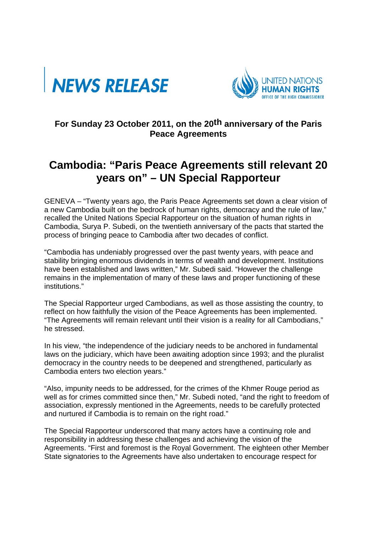



## **For Sunday 23 October 2011, on the 20th anniversary of the Paris Peace Agreements**

## **Cambodia: "Paris Peace Agreements still relevant 20 years on" – UN Special Rapporteur**

GENEVA – "Twenty years ago, the Paris Peace Agreements set down a clear vision of a new Cambodia built on the bedrock of human rights, democracy and the rule of law," recalled the United Nations Special Rapporteur on the situation of human rights in Cambodia, Surya P. Subedi, on the twentieth anniversary of the pacts that started the process of bringing peace to Cambodia after two decades of conflict.

"Cambodia has undeniably progressed over the past twenty years, with peace and stability bringing enormous dividends in terms of wealth and development. Institutions have been established and laws written," Mr. Subedi said. "However the challenge remains in the implementation of many of these laws and proper functioning of these institutions."

The Special Rapporteur urged Cambodians, as well as those assisting the country, to reflect on how faithfully the vision of the Peace Agreements has been implemented. "The Agreements will remain relevant until their vision is a reality for all Cambodians," he stressed.

In his view, "the independence of the judiciary needs to be anchored in fundamental laws on the judiciary, which have been awaiting adoption since 1993; and the pluralist democracy in the country needs to be deepened and strengthened, particularly as Cambodia enters two election years."

"Also, impunity needs to be addressed, for the crimes of the Khmer Rouge period as well as for crimes committed since then," Mr. Subedi noted, "and the right to freedom of association, expressly mentioned in the Agreements, needs to be carefully protected and nurtured if Cambodia is to remain on the right road."

The Special Rapporteur underscored that many actors have a continuing role and responsibility in addressing these challenges and achieving the vision of the Agreements. "First and foremost is the Royal Government. The eighteen other Member State signatories to the Agreements have also undertaken to encourage respect for